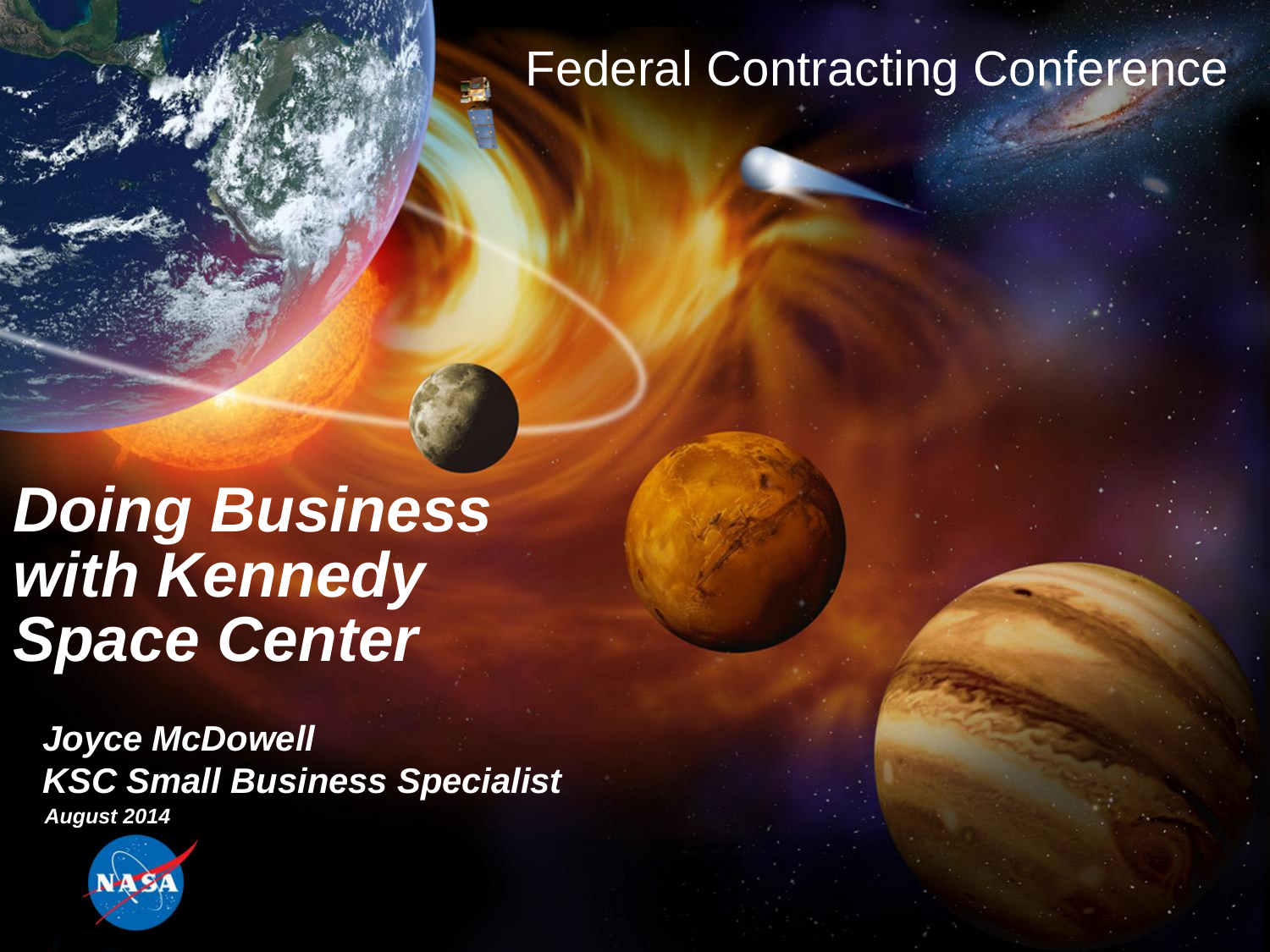# Federal Contracting Conference

*Doing Business with Kennedy Space Center*

*Joyce McDowell KSC Small Business Specialist August 2014*

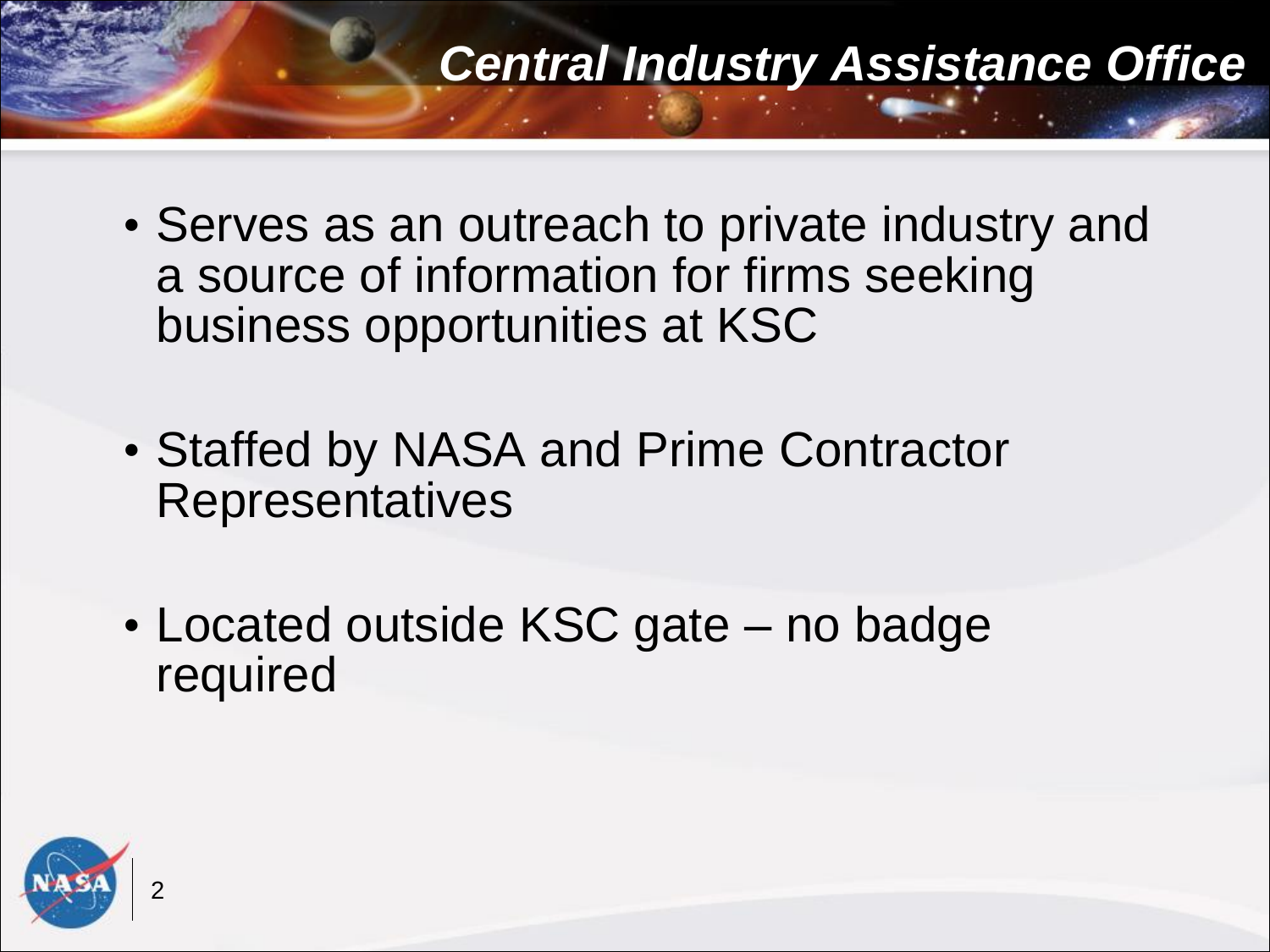- Serves as an outreach to private industry and a source of information for firms seeking business opportunities at KSC
- Staffed by NASA and Prime Contractor **Representatives**
- Located outside KSC gate no badge required

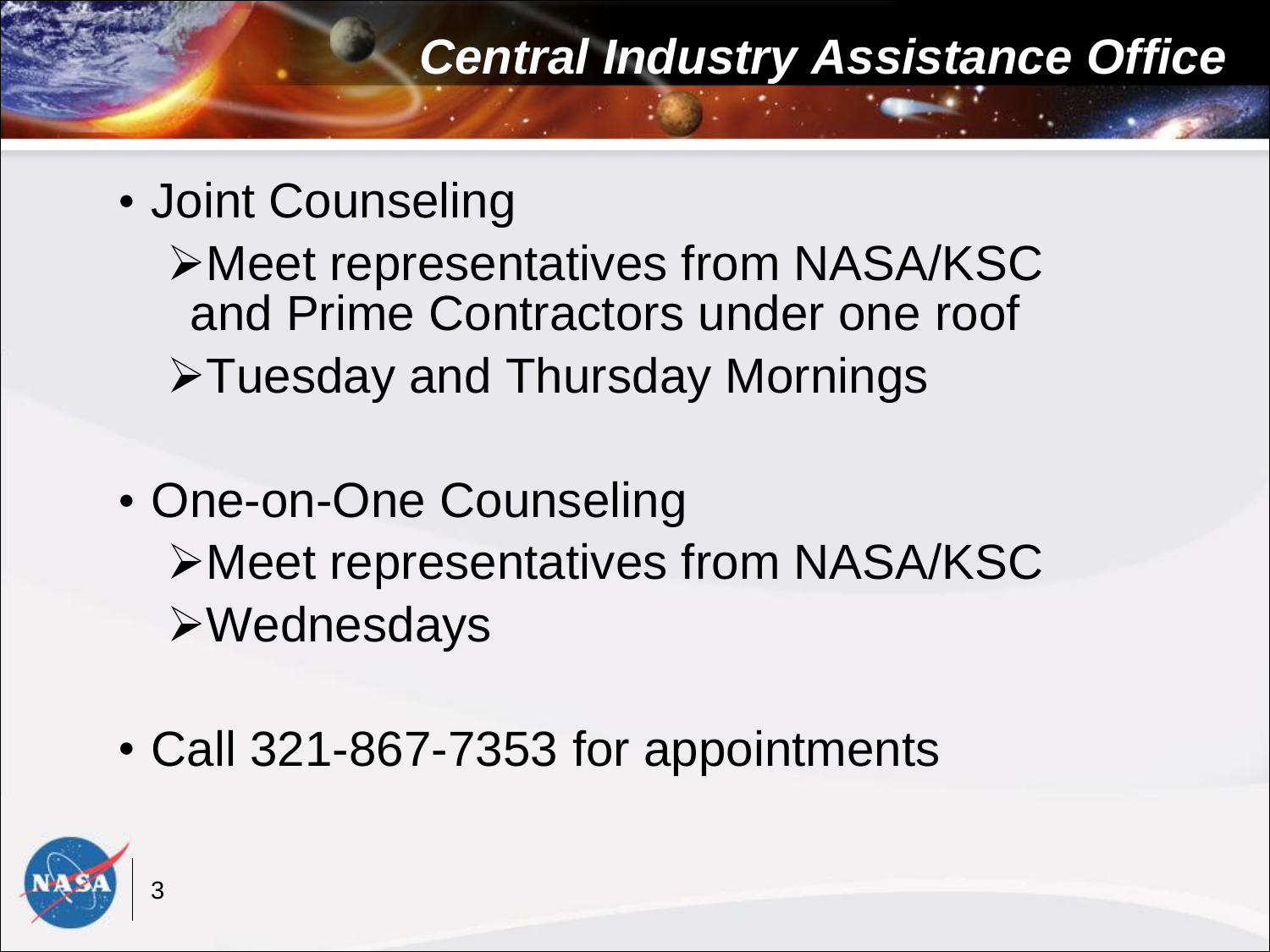## • Joint Counseling

Meet representatives from NASA/KSC and Prime Contractors under one roof Tuesday and Thursday Mornings

- One-on-One Counseling Meet representatives from NASA/KSC Wednesdays
- Call 321-867-7353 for appointments

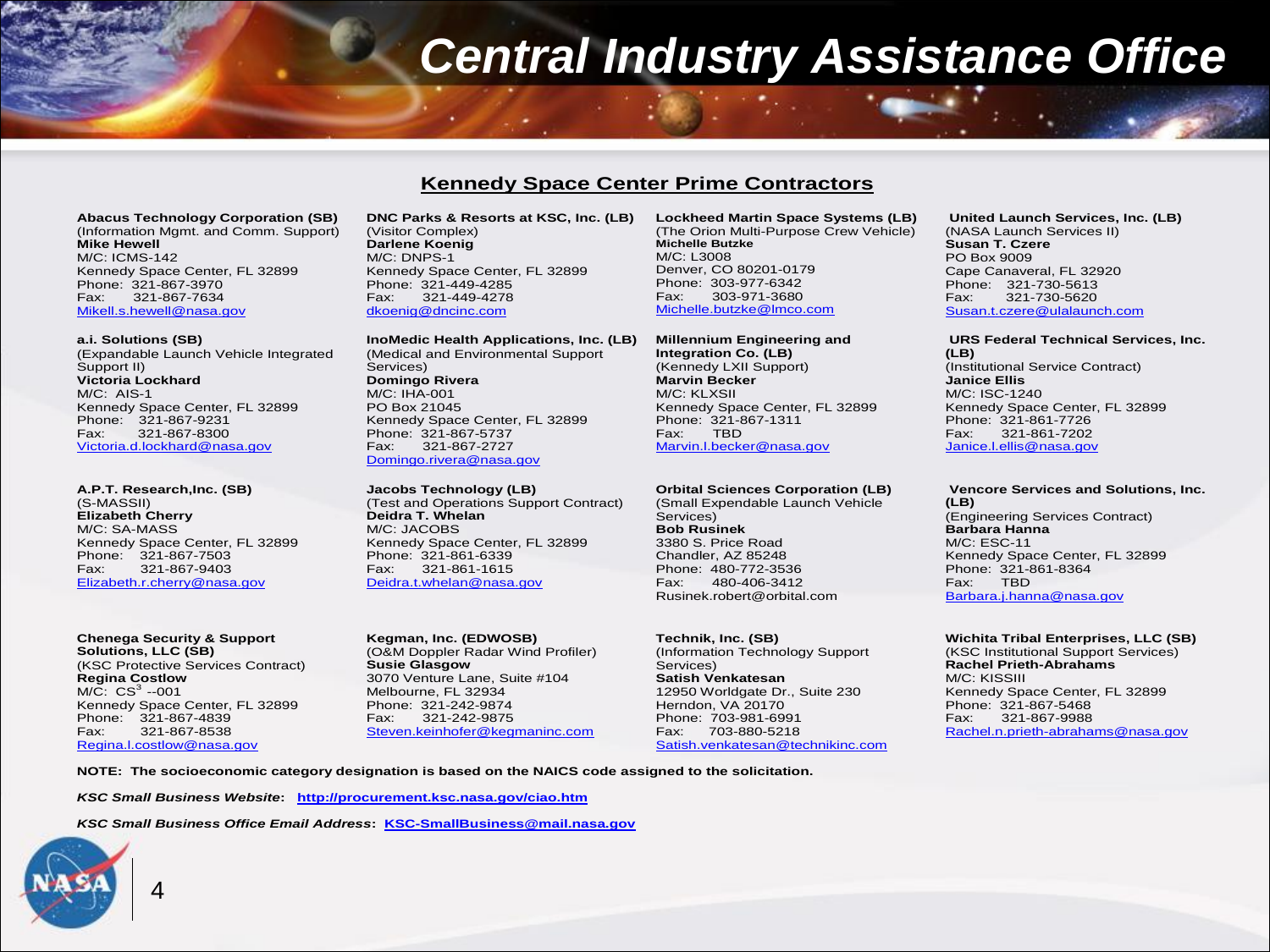#### **Kennedy Space Center Prime Contractors**

**Abacus Technology Corporation (SB)** (Information Mgmt. and Comm. Support) **Mike Hewell** M/C: ICMS-142 Kennedy Space Center, FL 32899 Phone: 321-867-3970<br>Fax: 321-867-7634 321-867-7634 Mikell.s.hewell@nasa.gov

#### **a.i. Solutions (SB)**

(Expandable Launch Vehicle Integrated Support II) **Victoria Lockhard** M/C: AIS-1 Kennedy Space Center, FL 32899 Phone: 321-867-9231<br>Fax: 321-867-8300 321-867-8300 Victoria.d.lockhard@nasa.gov

**A.P.T. Research,Inc. (SB)** (S-MASSII) **Elizabeth Cherry** M/C: SA-MASS Kennedy Space Center, FL 32899 Phone: 321-867-7503 Fax: 321-867-9403 Elizabeth.r.cherry@nasa.gov

**Chenega Security & Support Solutions, LLC (SB)** (KSC Protective Services Contract) **Regina Costlow**  $M/C: CS<sup>3</sup> -001$ Kennedy Space Center, FL 32899 Phone: 321-867-4839 Fax: 321-867-8538 Regina.l.costlow@nasa.gov

4

**DNC Parks & Resorts at KSC, Inc. (LB)** (Visitor Complex) **Darlene Koenig** M/C: DNPS-1 Kennedy Space Center, FL 32899 Phone: 321-449-4285<br>Fax: 321-449-4278 Fax: 321-449-4278 dkoenig@dncinc.com

**InoMedic Health Applications, Inc. (LB)** (Medical and Environmental Support Services) **Domingo Rivera** M/C: IHA-001 PO Box 21045 Kennedy Space Center, FL 32899 Phone: 321-867-5737<br>Fax: 321-867-2727 Fax: 321-867-2727 Domingo.rivera@nasa.gov

**Jacobs Technology (LB)** (Test and Operations Support Contract) **Deidra T. Whelan** M/C: JACOBS Kennedy Space Center, FL 32899 Phone: 321-861-6339 Fax: 321-861-1615 Deidra.t.whelan@nasa.gov

**Kegman, Inc. (EDWOSB)** (O&M Doppler Radar Wind Profiler) **Susie Glasgow** 3070 Venture Lane, Suite #104 Melbourne, FL 32934 Phone: 321-242-9874 Fax: 321-242-9875 Steven.keinhofer@kegmaninc.com

 **Lockheed Martin Space Systems (LB)** (The Orion Multi-Purpose Crew Vehicle) **Michelle Butzke** M/C: L3008 Denver, CO 80201-0179 Phone: 303-977-6342<br>Eax: 303-971-3680 Fax: 303-971-3680 Michelle.butzke@lmco.com

**Millennium Engineering and Integration Co. (LB)** (Kennedy LXII Support) **Marvin Becker** M/C: KLXSII Kennedy Space Center, FL 32899 Phone: 321-867-1311<br>Fax: TBD Fax: TBD Marvin.l.becker@nasa.gov

#### **Orbital Sciences Corporation (LB)**

(Small Expendable Launch Vehicle Services) **Bob Rusinek** 3380 S. Price Road Chandler, AZ 85248 Phone: 480-772-3536 Fax: 480-406-3412 Rusinek.robert@orbital.com

**Technik, Inc. (SB)** (Information Technology Support Services) **Satish Venkatesan** 12950 Worldgate Dr., Suite 230 Herndon, VA 20170 Phone: 703-981-6991 Fax: 703-880-5218 Satish.venkatesan@technikinc.com

#### **United Launch Services, Inc. (LB)** (NASA Launch Services II) **Susan T. Czere** PO Box 9009 Cape Canaveral, FL 32920 Phone: 321-730-5613<br>Fax: 321-730-5620 321-730-5620 Susan.t.czere@ulalaunch.com

**URS Federal Technical Services, Inc. (LB)** (Institutional Service Contract) **Janice Ellis** M/C: ISC-1240 Kennedy Space Center, FL 32899 Phone: 321-861-7726<br>Fax: 321-861-7202 Fax: 321-861-7202 Janice.l.ellis@nasa.gov

#### **Vencore Services and Solutions, Inc. (LB)** (Engineering Services Contract) **Barbara Hanna** M/C: ESC-11 Kennedy Space Center, FL 32899 Phone: 321-861-8364 Fax: TBD Barbara.j.hanna@nasa.gov

**Wichita Tribal Enterprises, LLC (SB)** (KSC Institutional Support Services) **Rachel Prieth-Abrahams** M/C: KISSIII Kennedy Space Center, FL 32899 Phone: 321-867-5468 Fax: 321-867-9988 Rachel.n.prieth-abrahams@nasa.gov

**NOTE: The socioeconomic category designation is based on the NAICS code assigned to the solicitation.** 

*KSC Small Business Website***: http://procurement.ksc.nasa.gov/ciao.htm**

*KSC Small Business Office Email Address***: KSC-SmallBusiness@mail.nasa.gov**

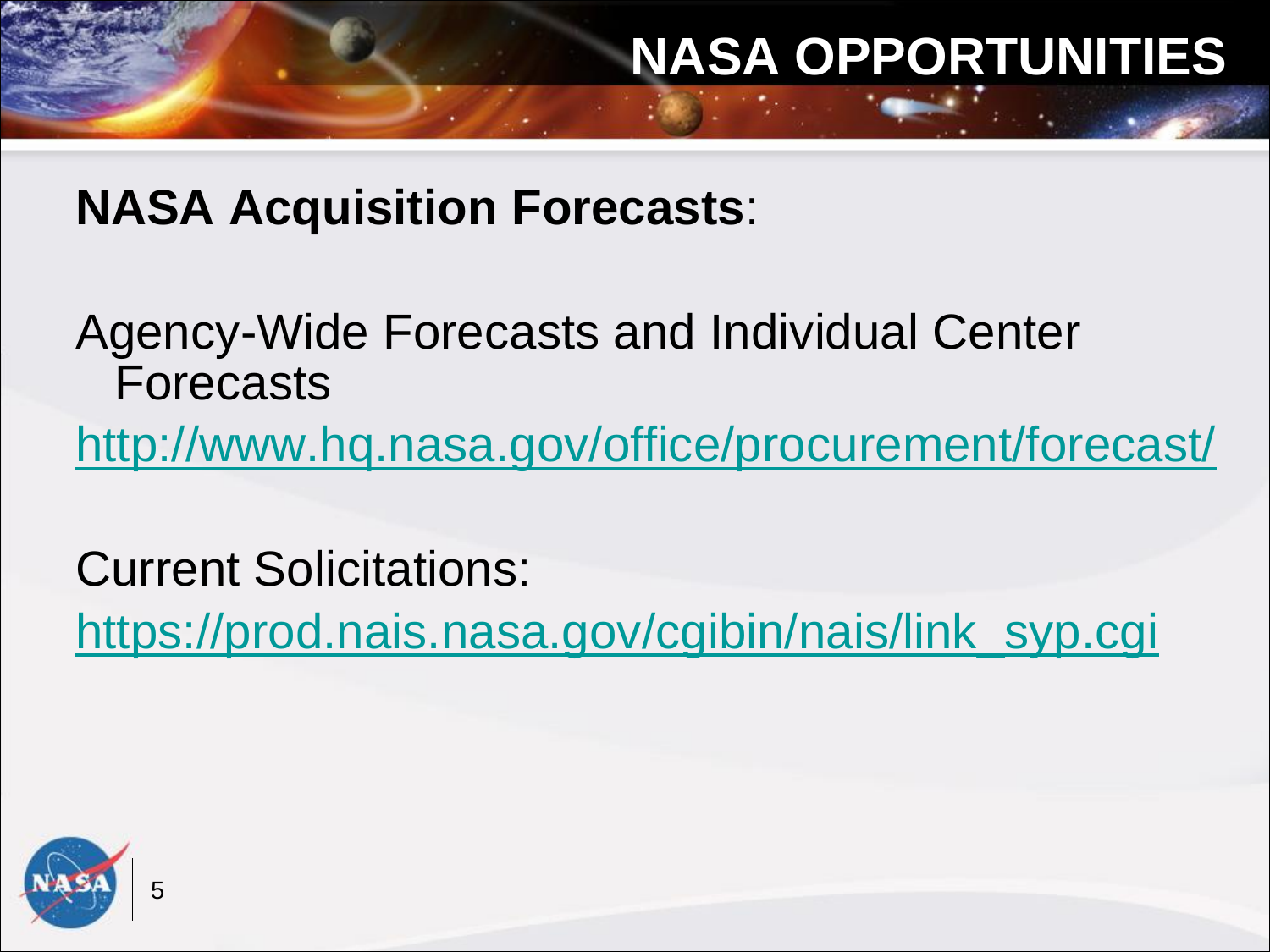# **NASA OPPORTUNITIES**

**NASA Acquisition Forecasts**:

Agency-Wide Forecasts and Individual Center Forecasts

<http://www.hq.nasa.gov/office/procurement/forecast/>

Current Solicitations: [https://prod.nais.nasa.gov/cgibin/nais/link\\_syp.cgi](https://prod.nais.nasa.gov/cgibin/nais/link_syp.cgi)

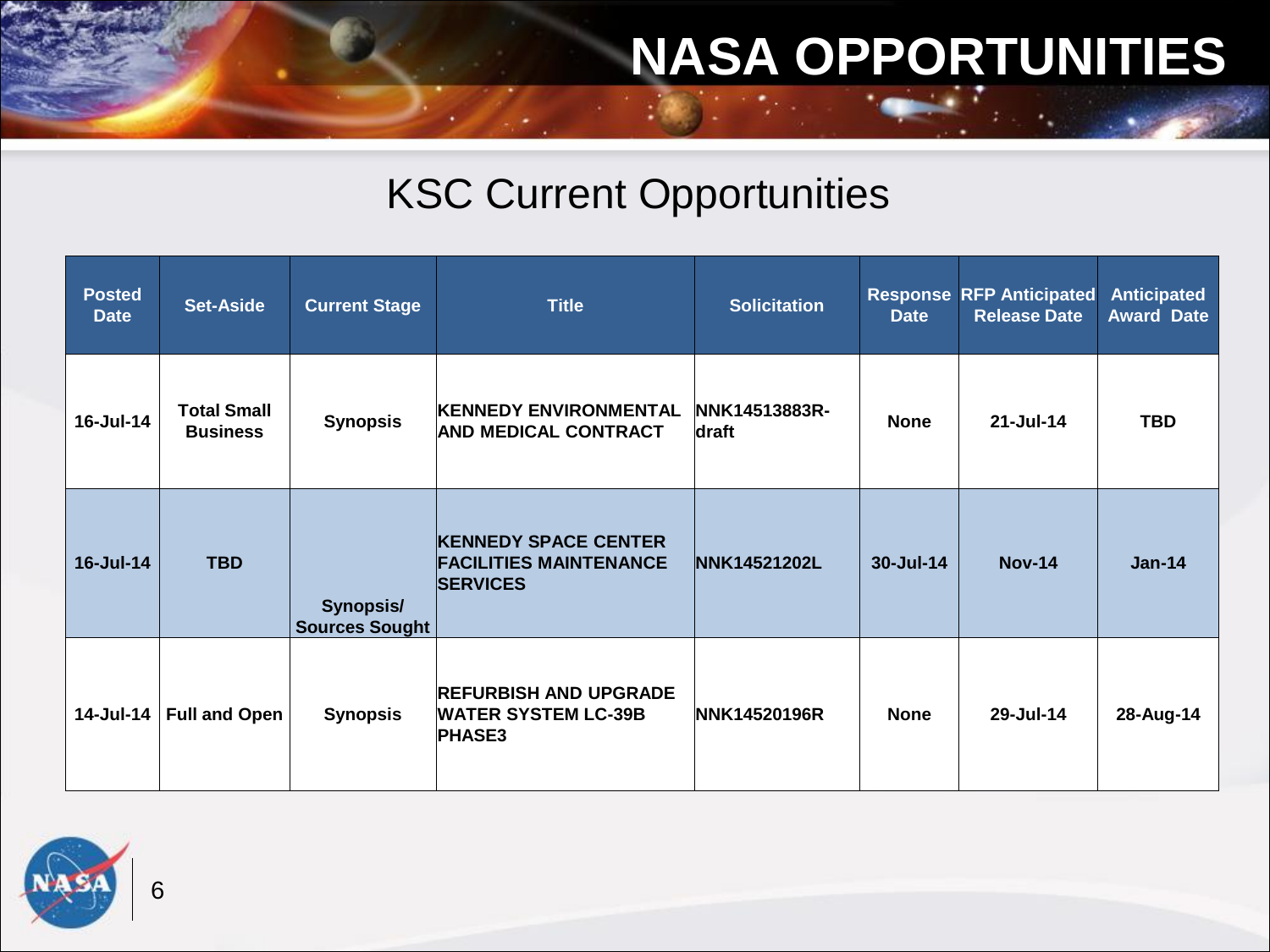# **NASA OPPORTUNITIES**

### KSC Current Opportunities

| <b>Posted</b><br><b>Date</b> | <b>Set-Aside</b>                      | <b>Current Stage</b>                      | <b>Title</b>                                                                    | <b>Solicitation</b>    | <b>Date</b> | <b>Response RFP Anticipated</b><br><b>Release Date</b> | <b>Anticipated</b><br><b>Award Date</b> |
|------------------------------|---------------------------------------|-------------------------------------------|---------------------------------------------------------------------------------|------------------------|-------------|--------------------------------------------------------|-----------------------------------------|
| 16-Jul-14                    | <b>Total Small</b><br><b>Business</b> | <b>Synopsis</b>                           | <b>KENNEDY ENVIRONMENTAL</b><br><b>AND MEDICAL CONTRACT</b>                     | NNK14513883R-<br>draft | <b>None</b> | $21 -$ Jul-14                                          | <b>TBD</b>                              |
| 16-Jul-14                    | <b>TBD</b>                            | <b>Synopsis/</b><br><b>Sources Sought</b> | <b>KENNEDY SPACE CENTER</b><br><b>FACILITIES MAINTENANCE</b><br><b>SERVICES</b> | <b>NNK14521202L</b>    | 30-Jul-14   | <b>Nov-14</b>                                          | $Jan-14$                                |
| 14-Jul-14                    | <b>Full and Open</b>                  | <b>Synopsis</b>                           | <b>REFURBISH AND UPGRADE</b><br><b>WATER SYSTEM LC-39B</b><br><b>PHASE3</b>     | NNK14520196R           | <b>None</b> | 29-Jul-14                                              | 28-Aug-14                               |

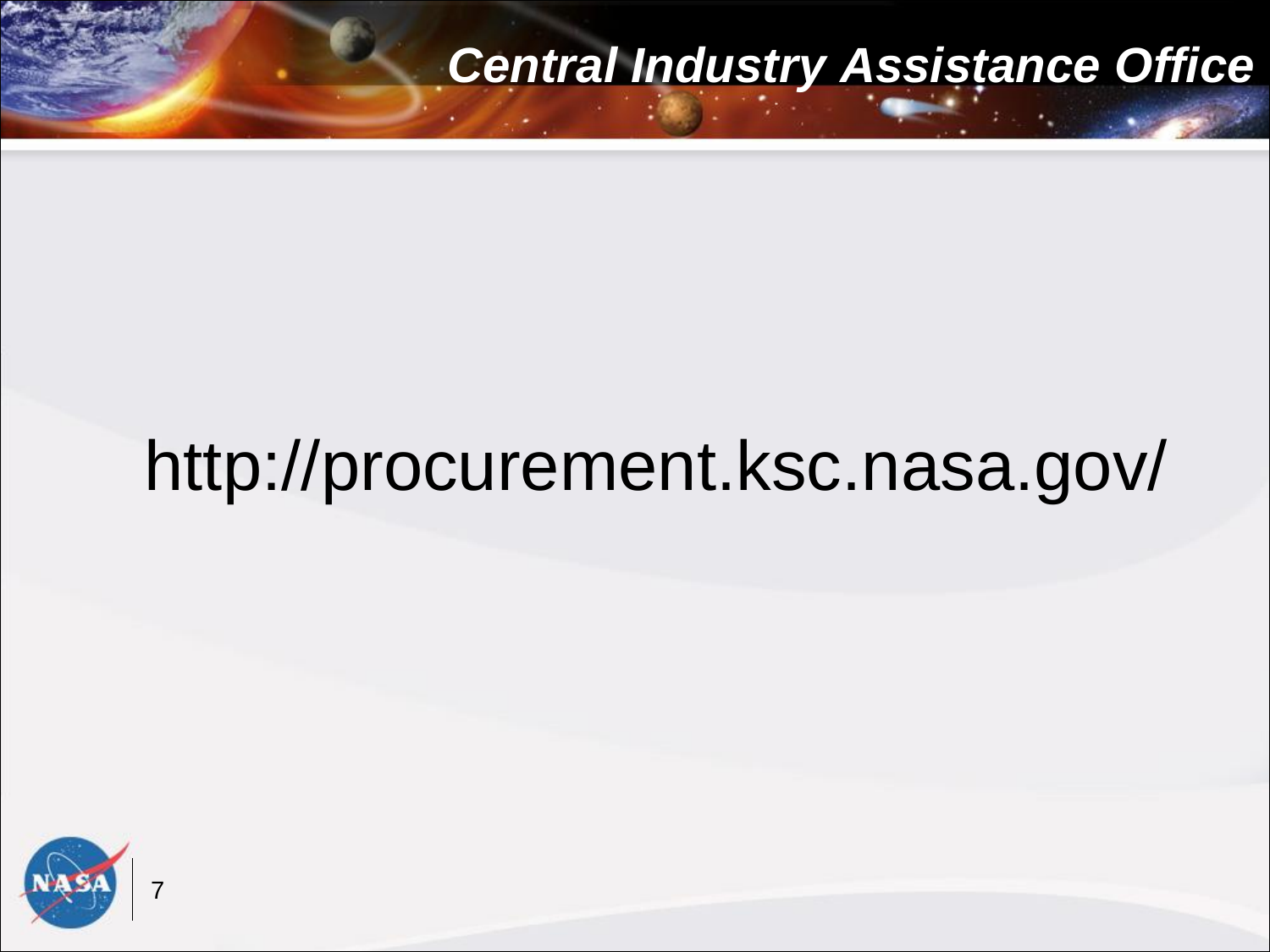# http://procurement.ksc.nasa.gov/